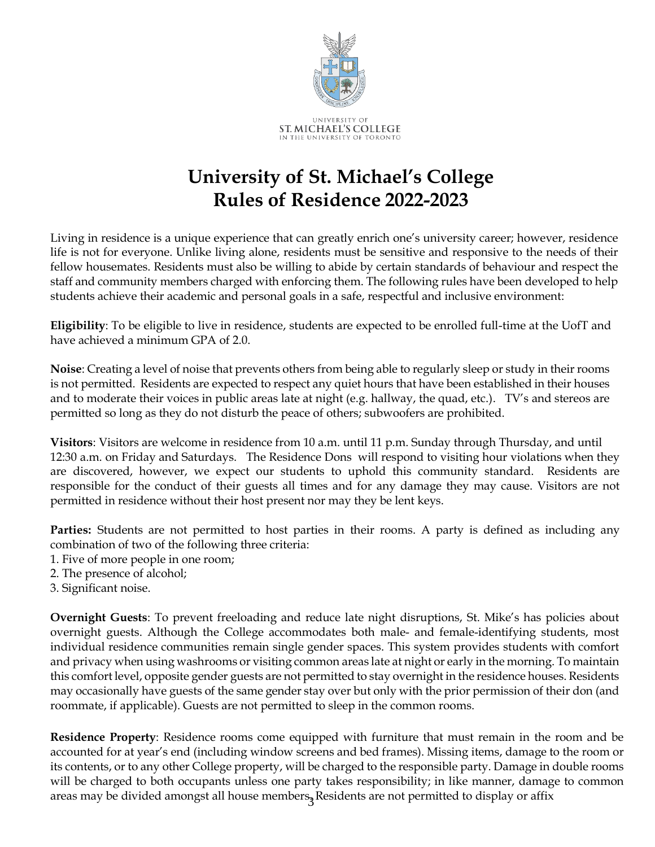

## **University of St. Michael's College Rules of Residence 2022-2023**

Living in residence is a unique experience that can greatly enrich one's university career; however, residence life is not for everyone. Unlike living alone, residents must be sensitive and responsive to the needs of their fellow housemates. Residents must also be willing to abide by certain standards of behaviour and respect the staff and community members charged with enforcing them. The following rules have been developed to help students achieve their academic and personal goals in a safe, respectful and inclusive environment:

**Eligibility**: To be eligible to live in residence, students are expected to be enrolled full-time at the UofT and have achieved a minimum GPA of 2.0.

**Noise**: Creating a level of noise that prevents others from being able to regularly sleep or study in their rooms is not permitted. Residents are expected to respect any quiet hours that have been established in their houses and to moderate their voices in public areas late at night (e.g. hallway, the quad, etc.). TV's and stereos are permitted so long as they do not disturb the peace of others; subwoofers are prohibited.

**Visitors**: Visitors are welcome in residence from 10 a.m. until 11 p.m. Sunday through Thursday, and until 12:30 a.m. on Friday and Saturdays. The Residence Dons will respond to visiting hour violations when they are discovered, however, we expect our students to uphold this community standard. Residents are responsible for the conduct of their guests all times and for any damage they may cause. Visitors are not permitted in residence without their host present nor may they be lent keys.

**Parties:** Students are not permitted to host parties in their rooms. A party is defined as including any combination of two of the following three criteria:

- 1. Five of more people in one room;
- 2. The presence of alcohol;
- 3. Significant noise.

**Overnight Guests**: To prevent freeloading and reduce late night disruptions, St. Mike's has policies about overnight guests. Although the College accommodates both male- and female-identifying students, most individual residence communities remain single gender spaces. This system provides students with comfort and privacy when using washrooms or visiting common areas late at night or early in the morning. To maintain this comfort level, opposite gender guests are not permitted to stay overnight in the residence houses. Residents may occasionally have guests of the same gender stay over but only with the prior permission of their don (and roommate, if applicable). Guests are not permitted to sleep in the common rooms.

areas may be divided amongst all house members<sub>3</sub> Residents are not permitted to display or affix **Residence Property**: Residence rooms come equipped with furniture that must remain in the room and be accounted for at year's end (including window screens and bed frames). Missing items, damage to the room or its contents, or to any other College property, will be charged to the responsible party. Damage in double rooms will be charged to both occupants unless one party takes responsibility; in like manner, damage to common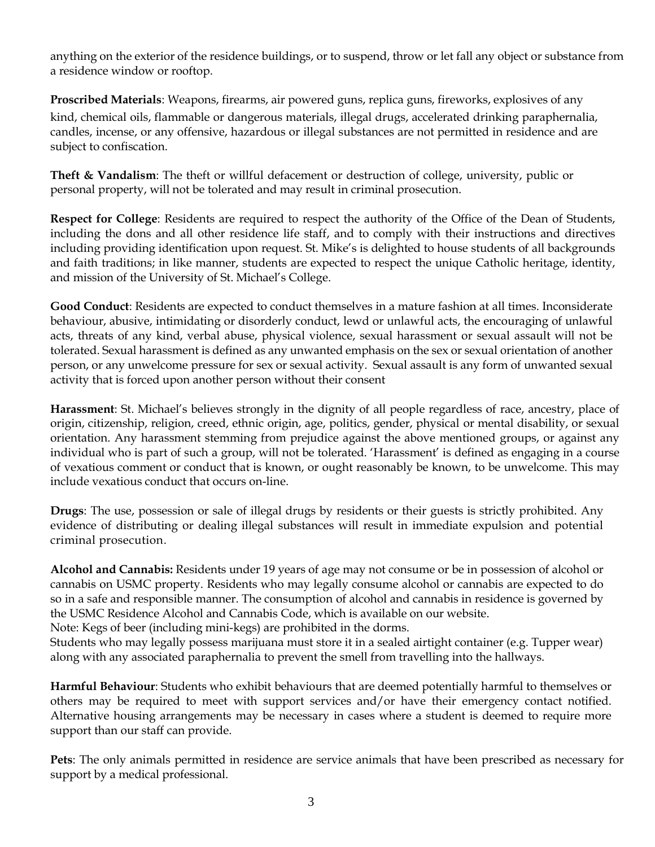anything on the exterior of the residence buildings, or to suspend, throw or let fall any object or substance from a residence window or rooftop.

**Proscribed Materials**: Weapons, firearms, air powered guns, replica guns, fireworks, explosives of any kind, chemical oils, flammable or dangerous materials, illegal drugs, accelerated drinking paraphernalia, candles, incense, or any offensive, hazardous or illegal substances are not permitted in residence and are subject to confiscation.

**Theft & Vandalism**: The theft or willful defacement or destruction of college, university, public or personal property, will not be tolerated and may result in criminal prosecution.

**Respect for College**: Residents are required to respect the authority of the Office of the Dean of Students, including the dons and all other residence life staff, and to comply with their instructions and directives including providing identification upon request. St. Mike's is delighted to house students of all backgrounds and faith traditions; in like manner, students are expected to respect the unique Catholic heritage, identity, and mission of the University of St. Michael's College.

**Good Conduct**: Residents are expected to conduct themselves in a mature fashion at all times. Inconsiderate behaviour, abusive, intimidating or disorderly conduct, lewd or unlawful acts, the encouraging of unlawful acts, threats of any kind, verbal abuse, physical violence, sexual harassment or sexual assault will not be tolerated. Sexual harassment is defined as any unwanted emphasis on the sex or sexual orientation of another person, or any unwelcome pressure for sex or sexual activity. Sexual assault is any form of unwanted sexual activity that is forced upon another person without their consent

**Harassment**: St. Michael's believes strongly in the dignity of all people regardless of race, ancestry, place of origin, citizenship, religion, creed, ethnic origin, age, politics, gender, physical or mental disability, or sexual orientation. Any harassment stemming from prejudice against the above mentioned groups, or against any individual who is part of such a group, will not be tolerated. 'Harassment' is defined as engaging in a course of vexatious comment or conduct that is known, or ought reasonably be known, to be unwelcome. This may include vexatious conduct that occurs on-line.

**Drugs**: The use, possession or sale of illegal drugs by residents or their guests is strictly prohibited. Any evidence of distributing or dealing illegal substances will result in immediate expulsion and potential criminal prosecution.

**Alcohol and Cannabis:** Residents under 19 years of age may not consume or be in possession of alcohol or cannabis on USMC property. Residents who may legally consume alcohol or cannabis are expected to do so in a safe and responsible manner. The consumption of alcohol and cannabis in residence is governed by the USMC Residence Alcohol and Cannabis Code, which is available on our website.

Note: Kegs of beer (including mini-kegs) are prohibited in the dorms.

Students who may legally possess marijuana must store it in a sealed airtight container (e.g. Tupper wear) along with any associated paraphernalia to prevent the smell from travelling into the hallways.

**Harmful Behaviour**: Students who exhibit behaviours that are deemed potentially harmful to themselves or others may be required to meet with support services and/or have their emergency contact notified. Alternative housing arrangements may be necessary in cases where a student is deemed to require more support than our staff can provide.

**Pets**: The only animals permitted in residence are service animals that have been prescribed as necessary for support by a medical professional.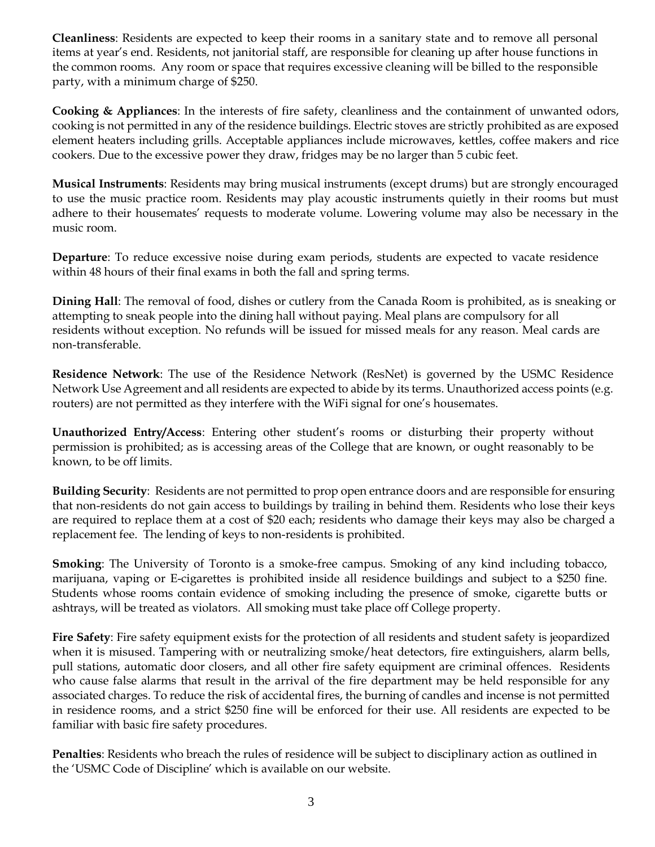**Cleanliness**: Residents are expected to keep their rooms in a sanitary state and to remove all personal items at year's end. Residents, not janitorial staff, are responsible for cleaning up after house functions in the common rooms. Any room or space that requires excessive cleaning will be billed to the responsible party, with a minimum charge of \$250.

**Cooking & Appliances**: In the interests of fire safety, cleanliness and the containment of unwanted odors, cooking is not permitted in any of the residence buildings. Electric stoves are strictly prohibited as are exposed element heaters including grills. Acceptable appliances include microwaves, kettles, coffee makers and rice cookers. Due to the excessive power they draw, fridges may be no larger than 5 cubic feet.

**Musical Instruments**: Residents may bring musical instruments (except drums) but are strongly encouraged to use the music practice room. Residents may play acoustic instruments quietly in their rooms but must adhere to their housemates' requests to moderate volume. Lowering volume may also be necessary in the music room.

**Departure**: To reduce excessive noise during exam periods, students are expected to vacate residence within 48 hours of their final exams in both the fall and spring terms.

**Dining Hall**: The removal of food, dishes or cutlery from the Canada Room is prohibited, as is sneaking or attempting to sneak people into the dining hall without paying. Meal plans are compulsory for all residents without exception. No refunds will be issued for missed meals for any reason. Meal cards are non-transferable.

**Residence Network**: The use of the Residence Network (ResNet) is governed by the USMC Residence Network Use Agreement and all residents are expected to abide by its terms. Unauthorized access points (e.g. routers) are not permitted as they interfere with the WiFi signal for one's housemates.

**Unauthorized Entry/Access**: Entering other student's rooms or disturbing their property without permission is prohibited; as is accessing areas of the College that are known, or ought reasonably to be known, to be off limits.

**Building Security**: Residents are not permitted to prop open entrance doors and are responsible for ensuring that non-residents do not gain access to buildings by trailing in behind them. Residents who lose their keys are required to replace them at a cost of \$20 each; residents who damage their keys may also be charged a replacement fee. The lending of keys to non-residents is prohibited.

**Smoking**: The University of Toronto is a smoke-free campus. Smoking of any kind including tobacco, marijuana, vaping or E-cigarettes is prohibited inside all residence buildings and subject to a \$250 fine. Students whose rooms contain evidence of smoking including the presence of smoke, cigarette butts or ashtrays, will be treated as violators. All smoking must take place off College property.

**Fire Safety**: Fire safety equipment exists for the protection of all residents and student safety is jeopardized when it is misused. Tampering with or neutralizing smoke/heat detectors, fire extinguishers, alarm bells, pull stations, automatic door closers, and all other fire safety equipment are criminal offences. Residents who cause false alarms that result in the arrival of the fire department may be held responsible for any associated charges. To reduce the risk of accidental fires, the burning of candles and incense is not permitted in residence rooms, and a strict \$250 fine will be enforced for their use. All residents are expected to be familiar with basic fire safety procedures.

**Penalties**: Residents who breach the rules of residence will be subject to disciplinary action as outlined in the 'USMC Code of Discipline' which is available on our website.